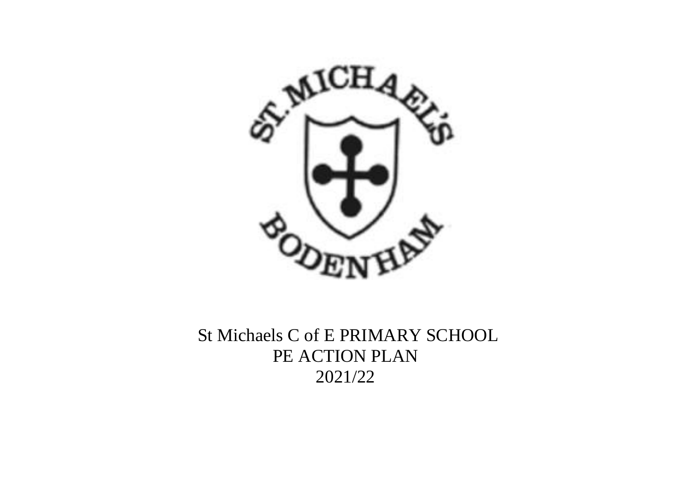

St Michaels C of E PRIMARY SCHOOL PE ACTION PLAN 2021/22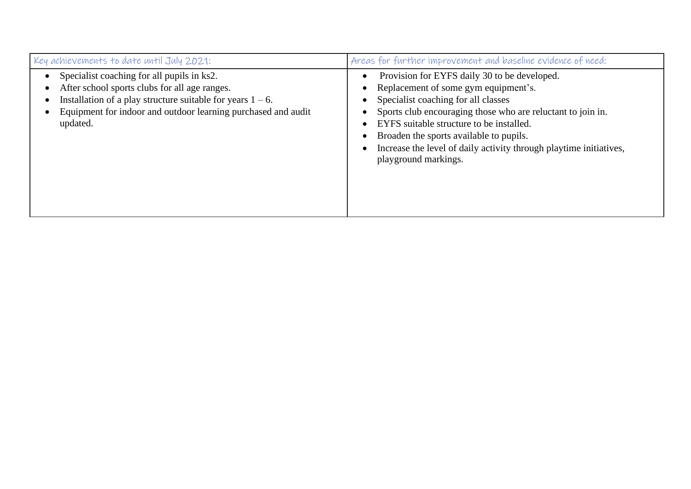| Key achievements to date until July 2021:                                                                                                                                                                                                 | Areas for further improvement and baseline evidence of need:                                                                                                                                                                                                                                                                                                                                              |
|-------------------------------------------------------------------------------------------------------------------------------------------------------------------------------------------------------------------------------------------|-----------------------------------------------------------------------------------------------------------------------------------------------------------------------------------------------------------------------------------------------------------------------------------------------------------------------------------------------------------------------------------------------------------|
| Specialist coaching for all pupils in ks2.<br>After school sports clubs for all age ranges.<br>Installation of a play structure suitable for years $1 - 6$ .<br>Equipment for indoor and outdoor learning purchased and audit<br>updated. | Provision for EYFS daily 30 to be developed.<br>$\bullet$<br>Replacement of some gym equipment's.<br>Specialist coaching for all classes<br>Sports club encouraging those who are reluctant to join in.<br>EYFS suitable structure to be installed.<br>Broaden the sports available to pupils.<br>$\bullet$<br>Increase the level of daily activity through playtime initiatives,<br>playground markings. |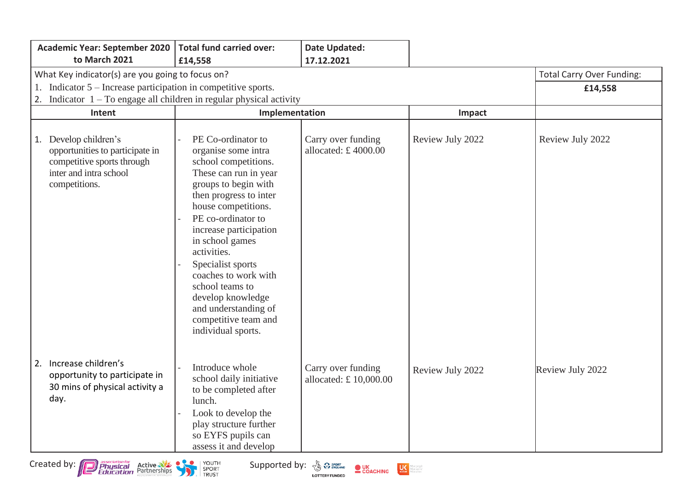|    | <b>Academic Year: September 2020</b>                                                                                              | <b>Total fund carried over:</b>                                                                                                                                                                                                                                                                                                                                                                                  | Date Updated:                                |                  |                  |
|----|-----------------------------------------------------------------------------------------------------------------------------------|------------------------------------------------------------------------------------------------------------------------------------------------------------------------------------------------------------------------------------------------------------------------------------------------------------------------------------------------------------------------------------------------------------------|----------------------------------------------|------------------|------------------|
|    | to March 2021                                                                                                                     | £14,558                                                                                                                                                                                                                                                                                                                                                                                                          | 17.12.2021                                   |                  |                  |
|    | What Key indicator(s) are you going to focus on?                                                                                  | <b>Total Carry Over Funding:</b>                                                                                                                                                                                                                                                                                                                                                                                 |                                              |                  |                  |
|    | 1. Indicator 5 – Increase participation in competitive sports.                                                                    |                                                                                                                                                                                                                                                                                                                                                                                                                  |                                              |                  | £14,558          |
| 2. | Indicator $1 - To$ engage all children in regular physical activity                                                               |                                                                                                                                                                                                                                                                                                                                                                                                                  |                                              |                  |                  |
|    | Intent                                                                                                                            | Implementation                                                                                                                                                                                                                                                                                                                                                                                                   |                                              | Impact           |                  |
|    | 1. Develop children's<br>opportunities to participate in<br>competitive sports through<br>inter and intra school<br>competitions. | PE Co-ordinator to<br>organise some intra<br>school competitions.<br>These can run in year<br>groups to begin with<br>then progress to inter<br>house competitions.<br>PE co-ordinator to<br>increase participation<br>in school games<br>activities.<br>Specialist sports<br>coaches to work with<br>school teams to<br>develop knowledge<br>and understanding of<br>competitive team and<br>individual sports. | Carry over funding<br>allocated: $£$ 4000.00 | Review July 2022 | Review July 2022 |
|    | 2. Increase children's<br>opportunity to participate in<br>30 mins of physical activity a<br>day.                                 | Introduce whole<br>school daily initiative<br>to be completed after<br>lunch.<br>Look to develop the<br>play structure further<br>so EYFS pupils can<br>assess it and develop                                                                                                                                                                                                                                    | Carry over funding<br>allocated: £10,000.00  | Review July 2022 | Review July 2022 |



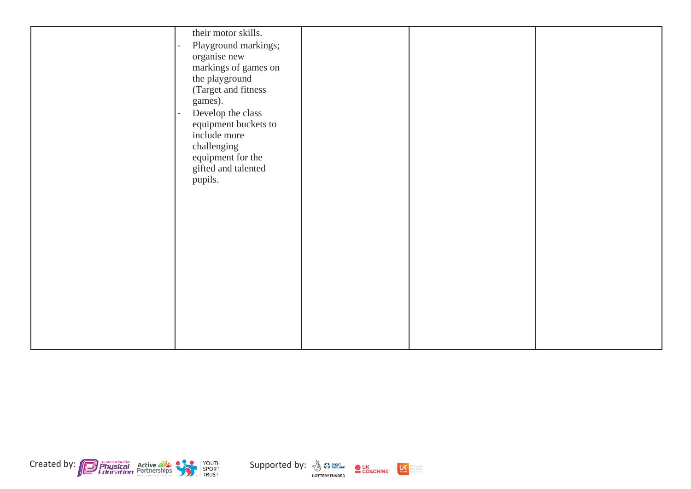|         | their motor skills.  |  |  |
|---------|----------------------|--|--|
|         | Playground markings; |  |  |
|         | organise new         |  |  |
|         | markings of games on |  |  |
|         |                      |  |  |
|         | the playground       |  |  |
|         | (Target and fitness  |  |  |
| games). |                      |  |  |
|         | Develop the class    |  |  |
|         | equipment buckets to |  |  |
|         | include more         |  |  |
|         | challenging          |  |  |
|         | equipment for the    |  |  |
|         | gifted and talented  |  |  |
| pupils. |                      |  |  |
|         |                      |  |  |
|         |                      |  |  |
|         |                      |  |  |
|         |                      |  |  |
|         |                      |  |  |
|         |                      |  |  |
|         |                      |  |  |
|         |                      |  |  |
|         |                      |  |  |
|         |                      |  |  |
|         |                      |  |  |
|         |                      |  |  |
|         |                      |  |  |
|         |                      |  |  |
|         |                      |  |  |





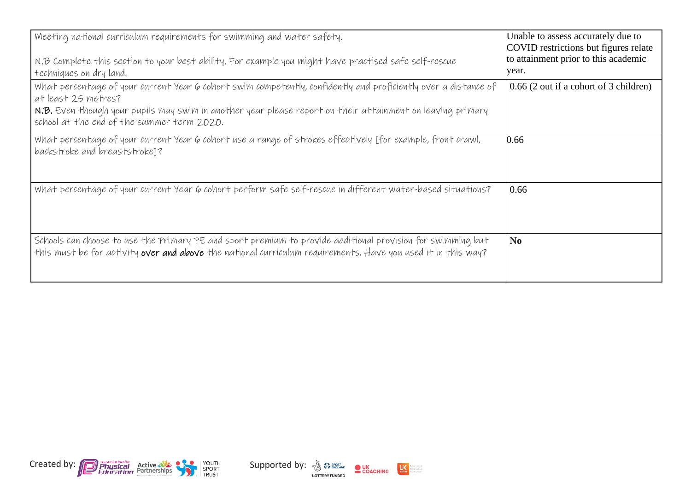| Meeting national curriculum requirements for swimming and water safety.<br>N.B Complete this section to your best ability. For example you might have practised safe self-rescue<br>techniques on dry land.                                                                                        | Unable to assess accurately due to<br>COVID restrictions but figures relate<br>to attainment prior to this academic<br>year. |
|----------------------------------------------------------------------------------------------------------------------------------------------------------------------------------------------------------------------------------------------------------------------------------------------------|------------------------------------------------------------------------------------------------------------------------------|
| What percentage of your current Year 6 cohort swim competently, confidently and proficiently over a distance of<br>at least 25 metres?<br>N.B. Even though your pupils may swim in another year please report on their attainment on leaving primary<br>school at the end of the summer term 2020. | 0.66 (2 out if a cohort of 3 children)                                                                                       |
| What percentage of your current Year 6 cohort use a range of strokes effectively [for example, front crawl,<br>backstroke and breaststroke]?                                                                                                                                                       | 0.66                                                                                                                         |
| What percentage of your current Year 6 cohort perform safe self-rescue in different water-based situations?                                                                                                                                                                                        | 0.66                                                                                                                         |
| Schools can choose to use the Primary PE and sport premium to provide additional provision for swimming but<br>this must be for activity over and above the national curriculum requirements. Have you used it in this way?                                                                        | N <sub>0</sub>                                                                                                               |



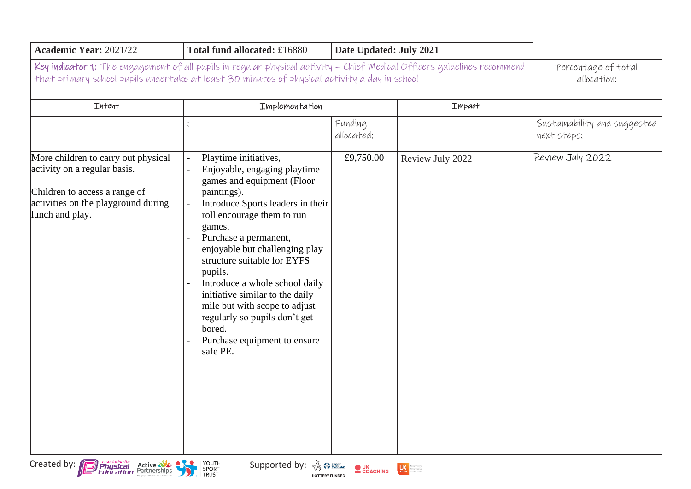| Academic Year: 2021/22                                                                                                                                                                                                           | Total fund allocated: £16880                                                                                                                                                                                                                                                                                                                                                                                                                                                      | Date Updated: July 2021 |                  |                                             |
|----------------------------------------------------------------------------------------------------------------------------------------------------------------------------------------------------------------------------------|-----------------------------------------------------------------------------------------------------------------------------------------------------------------------------------------------------------------------------------------------------------------------------------------------------------------------------------------------------------------------------------------------------------------------------------------------------------------------------------|-------------------------|------------------|---------------------------------------------|
| Key indicator 1: The engagement of <u>all</u> pupils in regular physical activity - Chief Medical Officers guidelines recommend<br>that primary school pupils undertake at least 30 minutes of physical activity a day in school | Percentage of total<br>allocation:                                                                                                                                                                                                                                                                                                                                                                                                                                                |                         |                  |                                             |
| Intent                                                                                                                                                                                                                           | Implementation                                                                                                                                                                                                                                                                                                                                                                                                                                                                    |                         | Impact           |                                             |
|                                                                                                                                                                                                                                  |                                                                                                                                                                                                                                                                                                                                                                                                                                                                                   | Funding<br>allocated:   |                  | Sustainability and suggested<br>next steps: |
| More children to carry out physical<br>activity on a regular basis.<br>Children to access a range of<br>activities on the playground during<br>lunch and play.                                                                   | Playtime initiatives,<br>Enjoyable, engaging playtime<br>games and equipment (Floor<br>paintings).<br>Introduce Sports leaders in their<br>roll encourage them to run<br>games.<br>Purchase a permanent,<br>enjoyable but challenging play<br>structure suitable for EYFS<br>pupils.<br>Introduce a whole school daily<br>initiative similar to the daily<br>mile but with scope to adjust<br>regularly so pupils don't get<br>bored.<br>Purchase equipment to ensure<br>safe PE. | £9,750.00               | Review July 2022 | Review July 2022                            |



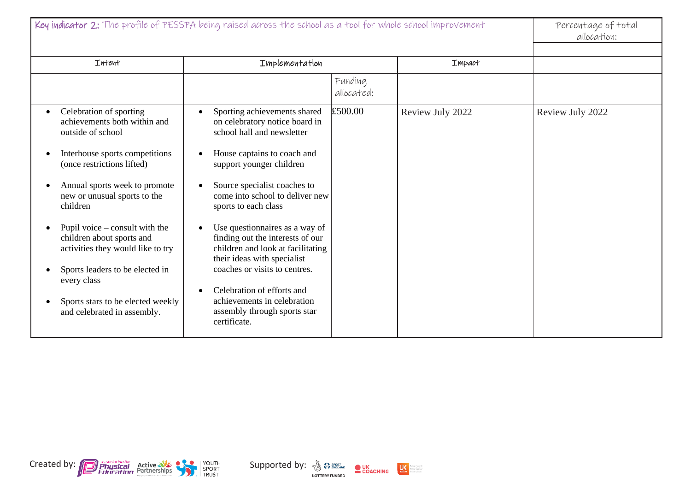| Key indicator 2: The profile of PESSPA being raised across the school as a tool for whole school improvement                                                                                                                                                                                                                                                                                                                                              |                                                                                                                                                                                                                                                                                                                                                                                                                                                                                                                                            |                       |                  | Percentage of total<br>allocation: |
|-----------------------------------------------------------------------------------------------------------------------------------------------------------------------------------------------------------------------------------------------------------------------------------------------------------------------------------------------------------------------------------------------------------------------------------------------------------|--------------------------------------------------------------------------------------------------------------------------------------------------------------------------------------------------------------------------------------------------------------------------------------------------------------------------------------------------------------------------------------------------------------------------------------------------------------------------------------------------------------------------------------------|-----------------------|------------------|------------------------------------|
| Intent                                                                                                                                                                                                                                                                                                                                                                                                                                                    | Implementation                                                                                                                                                                                                                                                                                                                                                                                                                                                                                                                             |                       | Impact           |                                    |
|                                                                                                                                                                                                                                                                                                                                                                                                                                                           |                                                                                                                                                                                                                                                                                                                                                                                                                                                                                                                                            | Funding<br>allocated: |                  |                                    |
| Celebration of sporting<br>achievements both within and<br>outside of school<br>Interhouse sports competitions<br>(once restrictions lifted)<br>Annual sports week to promote<br>new or unusual sports to the<br>children<br>Pupil voice $-\text{const}$ with the<br>children about sports and<br>activities they would like to try<br>Sports leaders to be elected in<br>every class<br>Sports stars to be elected weekly<br>and celebrated in assembly. | Sporting achievements shared<br>on celebratory notice board in<br>school hall and newsletter<br>House captains to coach and<br>support younger children<br>Source specialist coaches to<br>come into school to deliver new<br>sports to each class<br>Use questionnaires as a way of<br>finding out the interests of our<br>children and look at facilitating<br>their ideas with specialist<br>coaches or visits to centres.<br>Celebration of efforts and<br>achievements in celebration<br>assembly through sports star<br>certificate. | £500.00               | Review July 2022 | Review July 2022                   |

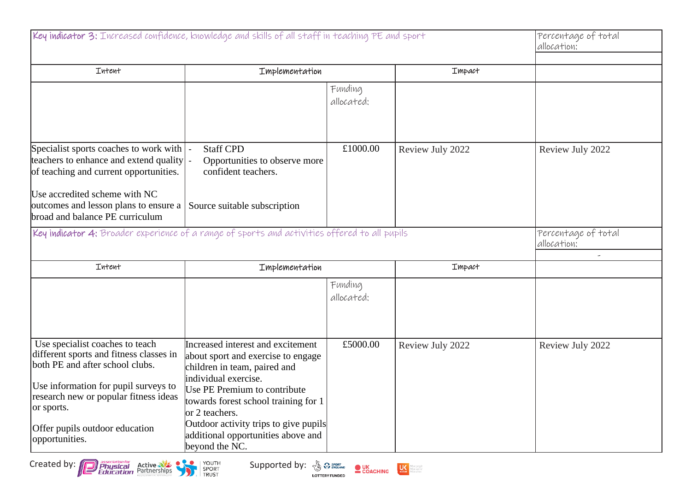| Key indicator 3: Increased confidence, knowledge and skills of all staff in teaching PE and sport                          | Percentage of total<br>allocation:                                                                                              |                       |                  |                                                                |
|----------------------------------------------------------------------------------------------------------------------------|---------------------------------------------------------------------------------------------------------------------------------|-----------------------|------------------|----------------------------------------------------------------|
| Intent                                                                                                                     | Implementation<br>Impact                                                                                                        |                       |                  |                                                                |
|                                                                                                                            |                                                                                                                                 | Funding<br>allocated: |                  |                                                                |
| Specialist sports coaches to work with<br>teachers to enhance and extend quality<br>of teaching and current opportunities. | <b>Staff CPD</b><br>Opportunities to observe more<br>confident teachers.                                                        | £1000.00              | Review July 2022 | Review July 2022                                               |
| Use accredited scheme with NC<br>outcomes and lesson plans to ensure a<br>broad and balance PE curriculum                  | Source suitable subscription                                                                                                    |                       |                  |                                                                |
| Key indicator 4: Broader experience of a range of sports and activities offered to all pupils                              |                                                                                                                                 |                       |                  | Percentage of total<br>allocation:<br>$\overline{\phantom{a}}$ |
| Intent                                                                                                                     | Implementation                                                                                                                  |                       | Impact           |                                                                |
|                                                                                                                            |                                                                                                                                 | Funding<br>allocated: |                  |                                                                |
| Use specialist coaches to teach<br>different sports and fitness classes in<br>both PE and after school clubs.              | Increased interest and excitement<br>about sport and exercise to engage<br>children in team, paired and<br>individual exercise. | £5000.00              | Review July 2022 | Review July 2022                                               |
| Use information for pupil surveys to<br>research new or popular fitness ideas<br>or sports.                                | Use PE Premium to contribute<br>towards forest school training for 1<br>or 2 teachers.                                          |                       |                  |                                                                |
| Offer pupils outdoor education<br>opportunities.                                                                           | Outdoor activity trips to give pupils<br>additional opportunities above and<br>beyond the NC.                                   |                       |                  |                                                                |